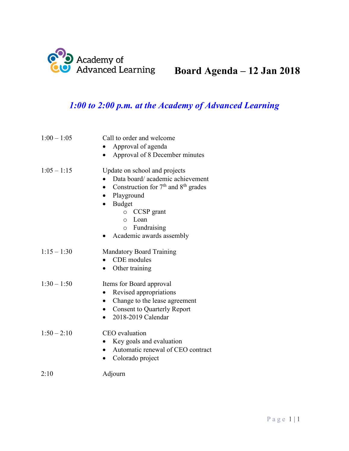

# **Board Agenda – 12 Jan 2018**

## *1:00 to 2:00 p.m. at the Academy of Advanced Learning*

| $1:00 - 1:05$ | Call to order and welcome<br>Approval of agenda<br>Approval of 8 December minutes                                                                                                                                                                                        |
|---------------|--------------------------------------------------------------------------------------------------------------------------------------------------------------------------------------------------------------------------------------------------------------------------|
| $1:05 - 1:15$ | Update on school and projects<br>Data board/academic achievement<br>Construction for 7 <sup>th</sup> and 8 <sup>th</sup> grades<br>$\bullet$<br>Playground<br><b>Budget</b><br>$\circ$ CCSP grant<br>Loan<br>$\Omega$<br>$\circ$ Fundraising<br>Academic awards assembly |
| $1:15 - 1:30$ | <b>Mandatory Board Training</b><br>CDE modules<br>Other training                                                                                                                                                                                                         |
| $1:30 - 1:50$ | Items for Board approval<br>Revised appropriations<br>Change to the lease agreement<br><b>Consent to Quarterly Report</b><br>2018-2019 Calendar                                                                                                                          |
| $1:50 - 2:10$ | CEO evaluation<br>Key goals and evaluation<br>Automatic renewal of CEO contract<br>$\bullet$<br>Colorado project                                                                                                                                                         |
| 2:10          | Adjourn                                                                                                                                                                                                                                                                  |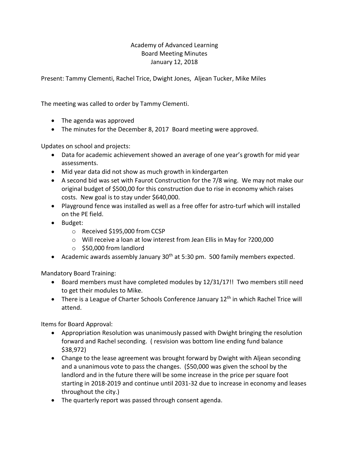#### Academy of Advanced Learning Board Meeting Minutes January 12, 2018

Present: Tammy Clementi, Rachel Trice, Dwight Jones, Aljean Tucker, Mike Miles

The meeting was called to order by Tammy Clementi.

- The agenda was approved
- The minutes for the December 8, 2017 Board meeting were approved.

Updates on school and projects:

- Data for academic achievement showed an average of one year's growth for mid year assessments.
- Mid year data did not show as much growth in kindergarten
- A second bid was set with Faurot Construction for the 7/8 wing. We may not make our original budget of \$500,00 for this construction due to rise in economy which raises costs. New goal is to stay under \$640,000.
- Playground fence was installed as well as a free offer for astro-turf which will installed on the PE field.
- Budget:
	- o Received \$195,000 from CCSP
	- o Will receive a loan at low interest from Jean Ellis in May for ?200,000
	- o \$50,000 from landlord
- Academic awards assembly January 30<sup>th</sup> at 5:30 pm. 500 family members expected.

Mandatory Board Training:

- Board members must have completed modules by 12/31/17!! Two members still need to get their modules to Mike.
- There is a League of Charter Schools Conference January 12<sup>th</sup> in which Rachel Trice will attend.

Items for Board Approval:

- Appropriation Resolution was unanimously passed with Dwight bringing the resolution forward and Rachel seconding. ( resvision was bottom line ending fund balance \$38,972)
- Change to the lease agreement was brought forward by Dwight with Aljean seconding and a unanimous vote to pass the changes. (\$50,000 was given the school by the landlord and in the future there will be some increase in the price per square foot starting in 2018-2019 and continue until 2031-32 due to increase in economy and leases throughout the city.)
- The quarterly report was passed through consent agenda.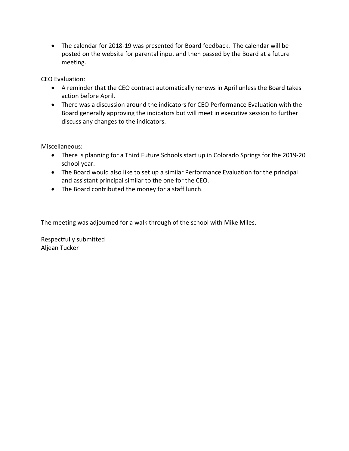• The calendar for 2018-19 was presented for Board feedback. The calendar will be posted on the website for parental input and then passed by the Board at a future meeting.

CEO Evaluation:

- A reminder that the CEO contract automatically renews in April unless the Board takes action before April.
- There was a discussion around the indicators for CEO Performance Evaluation with the Board generally approving the indicators but will meet in executive session to further discuss any changes to the indicators.

Miscellaneous:

- There is planning for a Third Future Schools start up in Colorado Springs for the 2019-20 school year.
- The Board would also like to set up a similar Performance Evaluation for the principal and assistant principal similar to the one for the CEO.
- The Board contributed the money for a staff lunch.

The meeting was adjourned for a walk through of the school with Mike Miles.

Respectfully submitted Aljean Tucker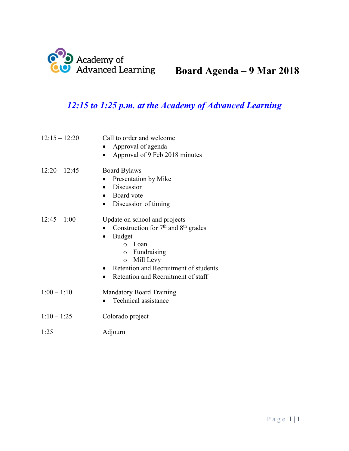

# **Board Agenda – 9 Mar 2018**

## *12:15 to 1:25 p.m. at the Academy of Advanced Learning*

| $12:15 - 12:20$ | Call to order and welcome<br>Approval of agenda<br>Approval of 9 Feb 2018 minutes                                                                                                                                           |
|-----------------|-----------------------------------------------------------------------------------------------------------------------------------------------------------------------------------------------------------------------------|
| $12:20 - 12:45$ | <b>Board Bylaws</b><br>Presentation by Mike<br>• Discussion<br>• Board vote<br>Discussion of timing<br>$\bullet$                                                                                                            |
| $12:45 - 1:00$  | Update on school and projects<br>Construction for $7th$ and $8th$ grades<br>• Budget<br>∩ Loan<br>$\circ$ Fundraising<br>$\circ$ Mill Levy<br>• Retention and Recruitment of students<br>Retention and Recruitment of staff |
| $1:00 - 1:10$   | <b>Mandatory Board Training</b><br>Technical assistance                                                                                                                                                                     |
| $1:10 - 1:25$   | Colorado project                                                                                                                                                                                                            |

1:25 Adjourn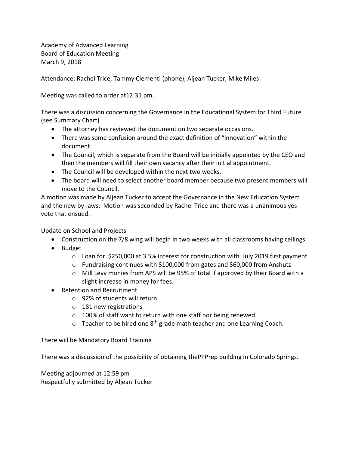Academy of Advanced Learning Board of Education Meeting March 9, 2018

Attendance: Rachel Trice, Tammy Clementi (phone), Aljean Tucker, Mike Miles

Meeting was called to order at12:31 pm.

There was a discussion concerning the Governance in the Educational System for Third Future (see Summary Chart)

- The attorney has reviewed the document on two separate occasions.
- There was some confusion around the exact definition of "innovation" within the document.
- The Council, which is separate from the Board will be initially appointed by the CEO and then the members will fill their own vacancy after their initial appointment.
- The Council will be developed within the next two weeks.
- The board will need to select another board member because two present members will move to the Council.

A motion was made by Aljean Tucker to accept the Governance in the New Education System and the new by-laws. Motion was seconded by Rachel Trice and there was a unanimous yes vote that ensued.

Update on School and Projects

- Construction on the 7/8 wing will begin in two weeks with all classrooms having ceilings.
- Budget
	- $\circ$  Loan for \$250,000 at 3.5% interest for construction with July 2019 first payment
	- $\circ$  Fundraising continues with \$100,000 from gates and \$60,000 from Anshutz
	- $\circ$  Mill Levy monies from APS will be 95% of total if approved by their Board with a slight increase in money for fees.
- Retention and Recruitment
	- o 92% of students will return
	- o 181 new registrations
	- o 100% of staff want to return with one staff nor being renewed.
	- $\circ$  Teacher to be hired one 8<sup>th</sup> grade math teacher and one Learning Coach.

There will be Mandatory Board Training

There was a discussion of the possibility of obtaining thePPPrep building in Colorado Springs.

Meeting adjourned at 12:59 pm Respectfully submitted by Aljean Tucker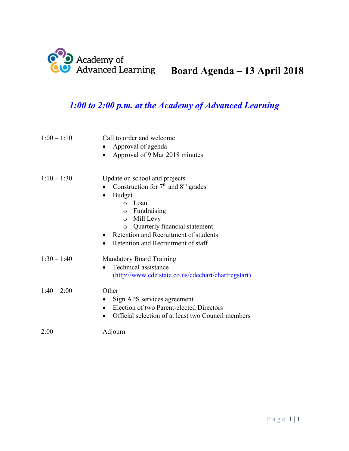

## *1:00 to 2:00 p.m. at the Academy of Advanced Learning*

| $1:00 - 1:10$ | Call to order and welcome<br>Approval of agenda<br>Approval of 9 Mar 2018 minutes<br>$\bullet$                                                                                                                                                                                                                                  |
|---------------|---------------------------------------------------------------------------------------------------------------------------------------------------------------------------------------------------------------------------------------------------------------------------------------------------------------------------------|
| $1:10 - 1:30$ | Update on school and projects<br>Construction for $7th$ and $8th$ grades<br><b>Budget</b><br>$\bullet$<br>Loan<br>$\bigcap$<br>$\circ$ Fundraising<br>Mill Levy<br>$\circ$<br>Quarterly financial statement<br>$\circ$<br>Retention and Recruitment of students<br>$\bullet$<br>Retention and Recruitment of staff<br>$\bullet$ |
| $1:30 - 1:40$ | <b>Mandatory Board Training</b><br>Technical assistance<br>$\bullet$<br>(http://www.cde.state.co.us/cdechart/chartregstart)                                                                                                                                                                                                     |
| $1:40 - 2:00$ | Other<br>Sign APS services agreement<br>Election of two Parent-elected Directors<br>$\bullet$<br>Official selection of at least two Council members                                                                                                                                                                             |
| 2:00          | Adjourn                                                                                                                                                                                                                                                                                                                         |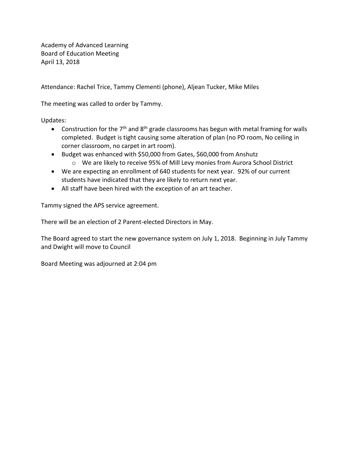Academy of Advanced Learning Board of Education Meeting April 13, 2018

Attendance: Rachel Trice, Tammy Clementi (phone), Aljean Tucker, Mike Miles

The meeting was called to order by Tammy.

Updates:

- Construction for the  $7<sup>th</sup>$  and  $8<sup>th</sup>$  grade classrooms has begun with metal framing for walls completed. Budget is tight causing some alteration of plan (no PD room, No ceiling in corner classroom, no carpet in art room).
- Budget was enhanced with \$50,000 from Gates, \$60,000 from Anshutz
	- o We are likely to receive 95% of Mill Levy monies from Aurora School District
- We are expecting an enrollment of 640 students for next year. 92% of our current students have indicated that they are likely to return next year.
- All staff have been hired with the exception of an art teacher.

Tammy signed the APS service agreement.

There will be an election of 2 Parent-elected Directors in May.

The Board agreed to start the new governance system on July 1, 2018. Beginning in July Tammy and Dwight will move to Council

Board Meeting was adjourned at 2:04 pm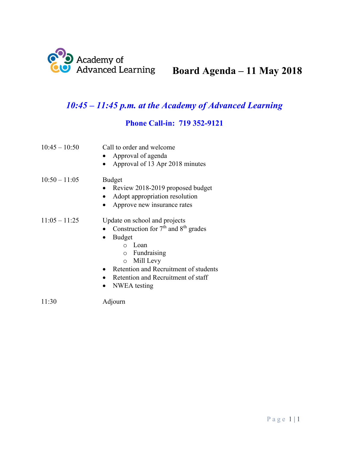

# **Board Agenda – 11 May 2018**

## *10:45 – 11:45 p.m. at the Academy of Advanced Learning*

### **Phone Call-in: 719 352-9121**

| $10:45 - 10:50$ | Call to order and welcome<br>Approval of agenda<br>Approval of 13 Apr 2018 minutes                                                                                                                                                                        |
|-----------------|-----------------------------------------------------------------------------------------------------------------------------------------------------------------------------------------------------------------------------------------------------------|
| $10:50 - 11:05$ | <b>Budget</b><br>Review 2018-2019 proposed budget<br>Adopt appropriation resolution<br>Approve new insurance rates                                                                                                                                        |
| $11:05 - 11:25$ | Update on school and projects<br>Construction for $7th$ and $8th$ grades<br><b>Budget</b><br>Loan<br>$\cap$<br>$\circ$ Fundraising<br>Mill Levy<br>$\circ$<br>Retention and Recruitment of students<br>Retention and Recruitment of staff<br>NWEA testing |

11:30 Adjourn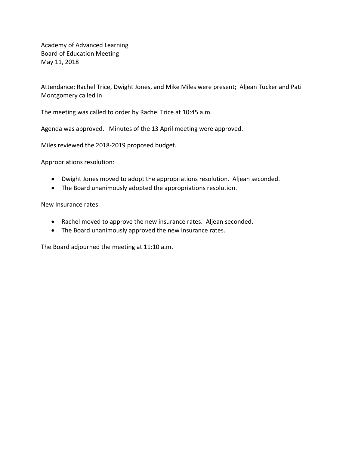Academy of Advanced Learning Board of Education Meeting May 11, 2018

Attendance: Rachel Trice, Dwight Jones, and Mike Miles were present; Aljean Tucker and Pati Montgomery called in

The meeting was called to order by Rachel Trice at 10:45 a.m.

Agenda was approved. Minutes of the 13 April meeting were approved.

Miles reviewed the 2018-2019 proposed budget.

Appropriations resolution:

- Dwight Jones moved to adopt the appropriations resolution. Aljean seconded.
- The Board unanimously adopted the appropriations resolution.

New Insurance rates:

- Rachel moved to approve the new insurance rates. Aljean seconded.
- The Board unanimously approved the new insurance rates.

The Board adjourned the meeting at 11:10 a.m.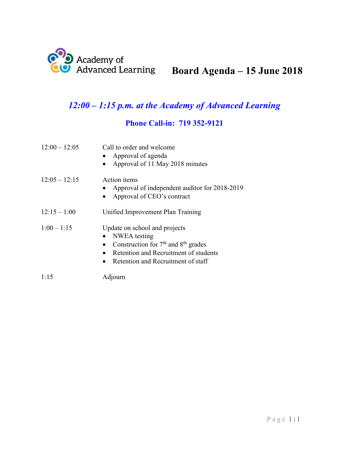

# **Board Agenda – 15 June 2018**

## *12:00 – 1:15 p.m. at the Academy of Advanced Learning*

### **Phone Call-in: 719 352-9121**

| $12:00 - 12:05$ | Call to order and welcome<br>• Approval of agenda<br>Approval of 11 May 2018 minutes                                                                                      |
|-----------------|---------------------------------------------------------------------------------------------------------------------------------------------------------------------------|
| $12:05 - 12:15$ | Action items<br>Approval of independent auditor for 2018-2019<br>Approval of CEO's contract                                                                               |
| $12:15 - 1:00$  | Unified Improvement Plan Training                                                                                                                                         |
| $1:00 - 1:15$   | Update on school and projects<br>NWEA testing<br>• Construction for $7th$ and $8th$ grades<br>Retention and Recruitment of students<br>Retention and Recruitment of staff |
| 1:15            | Adjourn                                                                                                                                                                   |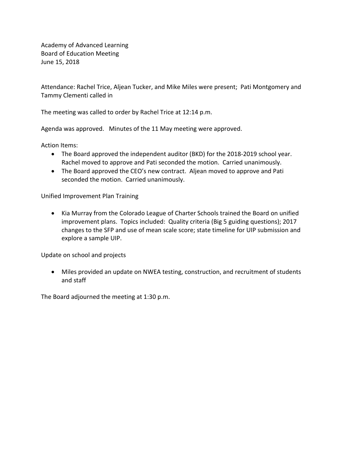Academy of Advanced Learning Board of Education Meeting June 15, 2018

Attendance: Rachel Trice, Aljean Tucker, and Mike Miles were present; Pati Montgomery and Tammy Clementi called in

The meeting was called to order by Rachel Trice at 12:14 p.m.

Agenda was approved. Minutes of the 11 May meeting were approved.

Action Items:

- The Board approved the independent auditor (BKD) for the 2018-2019 school year. Rachel moved to approve and Pati seconded the motion. Carried unanimously.
- The Board approved the CEO's new contract. Aljean moved to approve and Pati seconded the motion. Carried unanimously.

Unified Improvement Plan Training

• Kia Murray from the Colorado League of Charter Schools trained the Board on unified improvement plans. Topics included: Quality criteria (Big 5 guiding questions); 2017 changes to the SFP and use of mean scale score; state timeline for UIP submission and explore a sample UIP.

Update on school and projects

• Miles provided an update on NWEA testing, construction, and recruitment of students and staff

The Board adjourned the meeting at 1:30 p.m.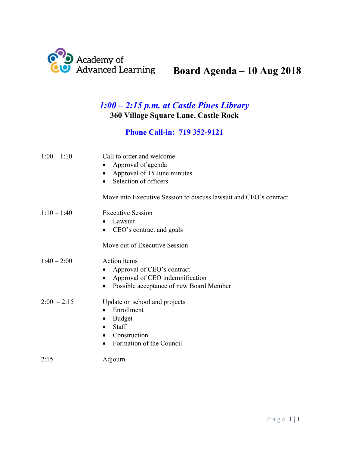

# **Board Agenda – 10 Aug 2018**

### *1:00 – 2:15 p.m. at Castle Pines Library*  **360 Village Square Lane, Castle Rock**

### **Phone Call-in: 719 352-9121**

| $1:00 - 1:10$ | Call to order and welcome<br>Approval of agenda<br>Approval of 15 June minutes<br>Selection of officers<br>Move into Executive Session to discuss lawsuit and CEO's contract |
|---------------|------------------------------------------------------------------------------------------------------------------------------------------------------------------------------|
| $1:10 - 1:40$ | <b>Executive Session</b><br>Lawsuit<br>$\bullet$<br>• CEO's contract and goals                                                                                               |
|               | Move out of Executive Session                                                                                                                                                |
| $1:40 - 2:00$ | Action items<br>Approval of CEO's contract<br>$\bullet$<br>Approval of CEO indemnification<br>$\bullet$<br>Possible acceptance of new Board Member                           |
| $2:00 - 2:15$ | Update on school and projects<br>Enrollment<br><b>Budget</b><br>$\bullet$<br>Staff<br>$\bullet$<br>Construction<br>$\bullet$<br>Formation of the Council<br>$\bullet$        |
| 2:15          | Adjourn                                                                                                                                                                      |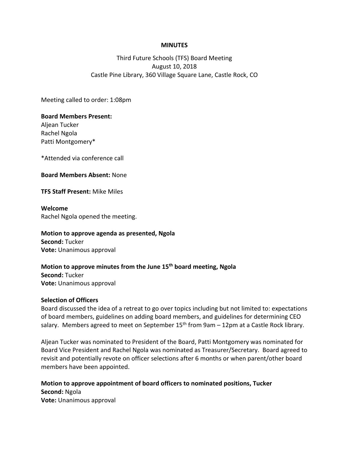#### **MINUTES**

#### Third Future Schools (TFS) Board Meeting August 10, 2018 Castle Pine Library, 360 Village Square Lane, Castle Rock, CO

Meeting called to order: 1:08pm

#### **Board Members Present:**

Aljean Tucker Rachel Ngola Patti Montgomery\*

\*Attended via conference call

#### **Board Members Absent:** None

**TFS Staff Present:** Mike Miles

#### **Welcome**

Rachel Ngola opened the meeting.

#### **Motion to approve agenda as presented, Ngola**

**Second:** Tucker **Vote:** Unanimous approval

#### **Motion to approve minutes from the June 15th board meeting, Ngola**

**Second:** Tucker **Vote:** Unanimous approval

#### **Selection of Officers**

Board discussed the idea of a retreat to go over topics including but not limited to: expectations of board members, guidelines on adding board members, and guidelines for determining CEO salary. Members agreed to meet on September  $15<sup>th</sup>$  from 9am – 12pm at a Castle Rock library.

Aljean Tucker was nominated to President of the Board, Patti Montgomery was nominated for Board Vice President and Rachel Ngola was nominated as Treasurer/Secretary. Board agreed to revisit and potentially revote on officer selections after 6 months or when parent/other board members have been appointed.

**Motion to approve appointment of board officers to nominated positions, Tucker Second:** Ngola **Vote:** Unanimous approval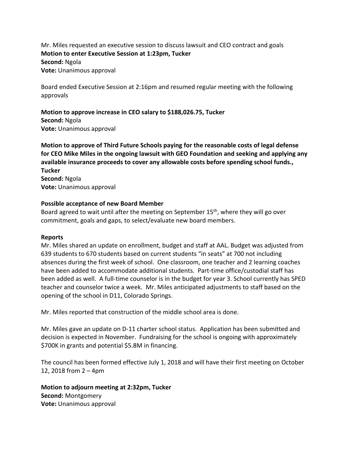Mr. Miles requested an executive session to discuss lawsuit and CEO contract and goals **Motion to enter Executive Session at 1:23pm, Tucker Second:** Ngola **Vote:** Unanimous approval

Board ended Executive Session at 2:16pm and resumed regular meeting with the following approvals

**Motion to approve increase in CEO salary to \$188,026.75, Tucker Second:** Ngola **Vote:** Unanimous approval

**Motion to approve of Third Future Schools paying for the reasonable costs of legal defense for CEO Mike Miles in the ongoing lawsuit with GEO Foundation and seeking and applying any available insurance proceeds to cover any allowable costs before spending school funds., Tucker Second:** Ngola **Vote:** Unanimous approval

#### **Possible acceptance of new Board Member**

Board agreed to wait until after the meeting on September 15<sup>th</sup>, where they will go over commitment, goals and gaps, to select/evaluate new board members.

#### **Reports**

Mr. Miles shared an update on enrollment, budget and staff at AAL. Budget was adjusted from 639 students to 670 students based on current students "in seats" at 700 not including absences during the first week of school. One classroom, one teacher and 2 learning coaches have been added to accommodate additional students. Part-time office/custodial staff has been added as well. A full-time counselor is in the budget for year 3. School currently has SPED teacher and counselor twice a week. Mr. Miles anticipated adjustments to staff based on the opening of the school in D11, Colorado Springs.

Mr. Miles reported that construction of the middle school area is done.

Mr. Miles gave an update on D-11 charter school status. Application has been submitted and decision is expected in November. Fundraising for the school is ongoing with approximately \$700K in grants and potential \$5.8M in financing.

The council has been formed effective July 1, 2018 and will have their first meeting on October 12, 2018 from 2 – 4pm

**Motion to adjourn meeting at 2:32pm, Tucker Second:** Montgomery **Vote:** Unanimous approval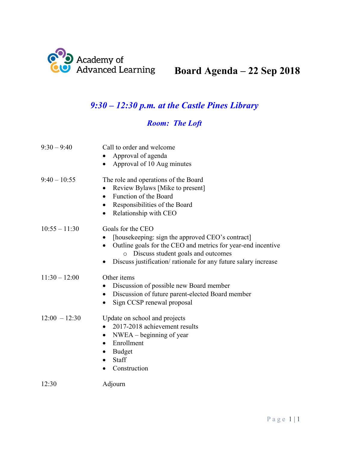

# **Board Agenda – 22 Sep 2018**

## *9:30 – 12:30 p.m. at the Castle Pines Library*

## *Room: The Loft*

| $9:30 - 9:40$   | Call to order and welcome                                                                            |
|-----------------|------------------------------------------------------------------------------------------------------|
|                 | Approval of agenda                                                                                   |
|                 | Approval of 10 Aug minutes                                                                           |
| $9:40 - 10:55$  | The role and operations of the Board                                                                 |
|                 | Review Bylaws [Mike to present]                                                                      |
|                 | Function of the Board                                                                                |
|                 | Responsibilities of the Board                                                                        |
|                 | Relationship with CEO                                                                                |
| $10:55 - 11:30$ | Goals for the CEO                                                                                    |
|                 | [housekeeping: sign the approved CEO's contract]                                                     |
|                 | Outline goals for the CEO and metrics for year-end incentive<br>O Discuss student goals and outcomes |
|                 | Discuss justification/rationale for any future salary increase                                       |
| $11:30 - 12:00$ | Other items                                                                                          |
|                 | Discussion of possible new Board member                                                              |
|                 | Discussion of future parent-elected Board member<br>$\bullet$                                        |
|                 | Sign CCSP renewal proposal<br>$\bullet$                                                              |
| $12:00 - 12:30$ | Update on school and projects                                                                        |
|                 | 2017-2018 achievement results                                                                        |
|                 | $NWEA - beginning of year$<br>٠                                                                      |
|                 | Enrollment                                                                                           |
|                 | <b>Budget</b>                                                                                        |
|                 | <b>Staff</b><br>$\bullet$                                                                            |
|                 | Construction                                                                                         |
| 12:30           | Adjourn                                                                                              |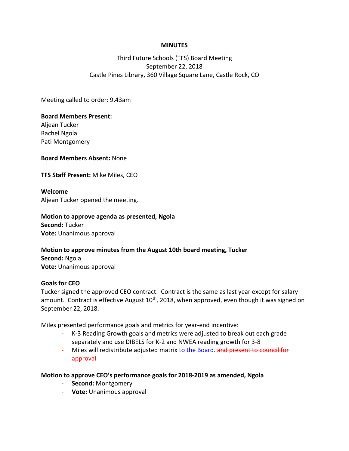#### **MINUTES**

#### Third Future Schools (TFS) Board Meeting September 22, 2018 Castle Pines Library, 360 Village Square Lane, Castle Rock, CO

Meeting called to order: 9.43am

#### **Board Members Present:**

Aljean Tucker Rachel Ngola Pati Montgomery

**Board Members Absent:** None

**TFS Staff Present:** Mike Miles, CEO

#### **Welcome**

Aljean Tucker opened the meeting.

#### **Motion to approve agenda as presented, Ngola**

**Second:** Tucker **Vote:** Unanimous approval

### **Motion to approve minutes from the August 10th board meeting, Tucker Second:** Ngola

**Vote:** Unanimous approval

#### **Goals for CEO**

Tucker signed the approved CEO contract. Contract is the same as last year except for salary amount. Contract is effective August  $10<sup>th</sup>$ , 2018, when approved, even though it was signed on September 22, 2018.

Miles presented performance goals and metrics for year-end incentive:

- K-3 Reading Growth goals and metrics were adjusted to break out each grade separately and use DIBELS for K-2 and NWEA reading growth for 3-8
- Miles will redistribute adjusted matrix to the Board. and present to council for approval

#### **Motion to approve CEO's performance goals for 2018-2019 as amended, Ngola**

- **Second:** Montgomery
- **Vote:** Unanimous approval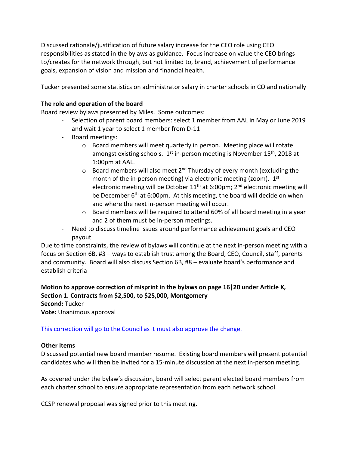Discussed rationale/justification of future salary increase for the CEO role using CEO responsibilities as stated in the bylaws as guidance. Focus increase on value the CEO brings to/creates for the network through, but not limited to, brand, achievement of performance goals, expansion of vision and mission and financial health.

Tucker presented some statistics on administrator salary in charter schools in CO and nationally

#### **The role and operation of the board**

Board review bylaws presented by Miles. Some outcomes:

- Selection of parent board members: select 1 member from AAL in May or June 2019 and wait 1 year to select 1 member from D-11
- Board meetings:
	- $\circ$  Board members will meet quarterly in person. Meeting place will rotate amongst existing schools.  $1<sup>st</sup>$  in-person meeting is November  $15<sup>th</sup>$ , 2018 at 1:00pm at AAL.
	- $\circ$  Board members will also meet 2<sup>nd</sup> Thursday of every month (excluding the month of the in-person meeting) via electronic meeting (zoom). 1st electronic meeting will be October 11<sup>th</sup> at 6:00pm; 2<sup>nd</sup> electronic meeting will be December 6<sup>th</sup> at 6:00pm. At this meeting, the board will decide on when and where the next in-person meeting will occur.
	- $\circ$  Board members will be required to attend 60% of all board meeting in a year and 2 of them must be in-person meetings.
- Need to discuss timeline issues around performance achievement goals and CEO payout

Due to time constraints, the review of bylaws will continue at the next in-person meeting with a focus on Section 6B, #3 – ways to establish trust among the Board, CEO, Council, staff, parents and community. Board will also discuss Section 6B, #8 – evaluate board's performance and establish criteria

#### **Motion to approve correction of misprint in the bylaws on page 16|20 under Article X, Section 1. Contracts from \$2,500, to \$25,000, Montgomery**

**Second:** Tucker

**Vote:** Unanimous approval

This correction will go to the Council as it must also approve the change.

#### **Other Items**

Discussed potential new board member resume. Existing board members will present potential candidates who will then be invited for a 15-minute discussion at the next in-person meeting.

As covered under the bylaw's discussion, board will select parent elected board members from each charter school to ensure appropriate representation from each network school.

CCSP renewal proposal was signed prior to this meeting.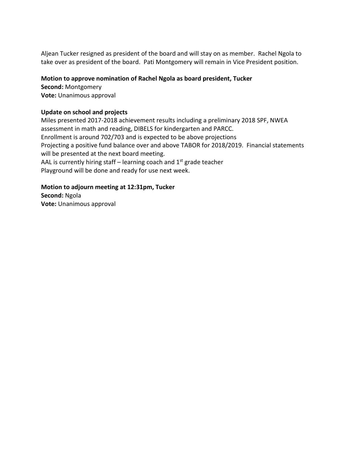Aljean Tucker resigned as president of the board and will stay on as member. Rachel Ngola to take over as president of the board. Pati Montgomery will remain in Vice President position.

#### **Motion to approve nomination of Rachel Ngola as board president, Tucker**

**Second:** Montgomery **Vote:** Unanimous approval

#### **Update on school and projects**

Miles presented 2017-2018 achievement results including a preliminary 2018 SPF, NWEA assessment in math and reading, DIBELS for kindergarten and PARCC. Enrollment is around 702/703 and is expected to be above projections Projecting a positive fund balance over and above TABOR for 2018/2019. Financial statements will be presented at the next board meeting. AAL is currently hiring staff – learning coach and  $1<sup>st</sup>$  grade teacher Playground will be done and ready for use next week.

### **Motion to adjourn meeting at 12:31pm, Tucker Second:** Ngola

**Vote:** Unanimous approval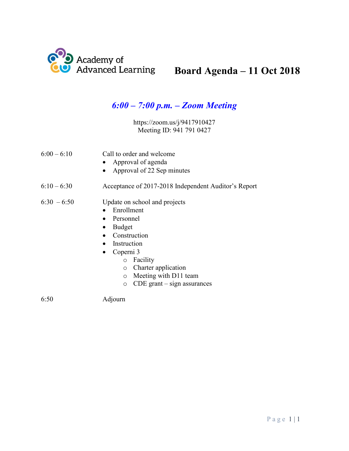

# **Board Agenda – 11 Oct 2018**

## *6:00 – 7:00 p.m. – Zoom Meeting*

https://zoom.us/j/9417910427 Meeting ID: 941 791 0427

| $6:00 - 6:10$ | Call to order and welcome<br>• Approval of agenda<br>Approval of 22 Sep minutes<br>$\bullet$                                                                                                                                                                           |
|---------------|------------------------------------------------------------------------------------------------------------------------------------------------------------------------------------------------------------------------------------------------------------------------|
| $6:10 - 6:30$ | Acceptance of 2017-2018 Independent Auditor's Report                                                                                                                                                                                                                   |
| $6:30 - 6:50$ | Update on school and projects<br>Enrollment<br>Personnel<br>Budget<br>Construction<br>Instruction<br>Coperni 3<br>$\bullet$<br>Facility<br>$\circ$<br>Charter application<br>$\circ$<br>Meeting with D11 team<br>$\circ$<br>$CDE$ grant $-$ sign assurances<br>$\circ$ |
| 6:50          | Adjourn                                                                                                                                                                                                                                                                |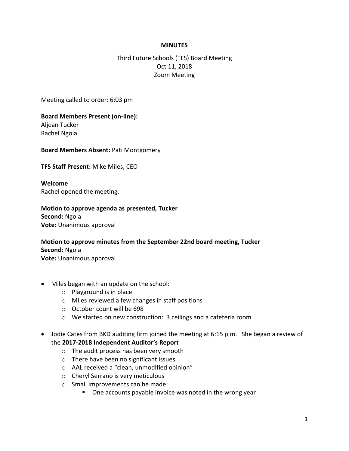#### **MINUTES**

#### Third Future Schools (TFS) Board Meeting Oct 11, 2018 Zoom Meeting

Meeting called to order: 6:03 pm

#### **Board Members Present (on-line):**

Aljean Tucker Rachel Ngola

#### **Board Members Absent:** Pati Montgomery

**TFS Staff Present:** Mike Miles, CEO

**Welcome** Rachel opened the meeting.

**Motion to approve agenda as presented, Tucker Second:** Ngola **Vote:** Unanimous approval

### **Motion to approve minutes from the September 22nd board meeting, Tucker Second:** Ngola

**Vote:** Unanimous approval

- Miles began with an update on the school:
	- o Playground is in place
	- o Miles reviewed a few changes in staff positions
	- o October count will be 698
	- o We started on new construction: 3 ceilings and a cafeteria room
- Jodie Cates from BKD auditing firm joined the meeting at 6:15 p.m. She began a review of the **2017-2018 Independent Auditor's Report**
	- o The audit process has been very smooth
	- o There have been no significant issues
	- o AAL received a "clean, unmodified opinion"
	- o Cheryl Serrano is very meticulous
	- o Small improvements can be made:
		- **One accounts payable invoice was noted in the wrong year**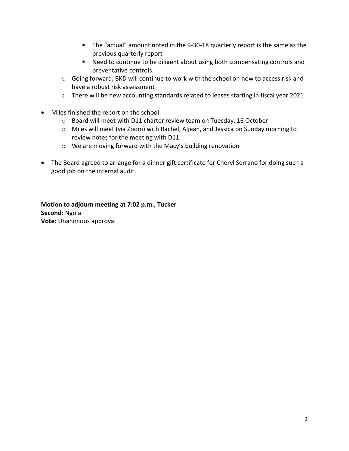- The "actual" amount noted in the 9-30-18 quarterly report is the same as the previous quarterly report
- Need to continue to be diligent about using both compensating controls and preventative controls
- $\circ$  Going forward, BKD will continue to work with the school on how to access risk and have a robust risk assessment
- o There will be new accounting standards related to leases starting in fiscal year 2021
- Miles finished the report on the school:
	- o Board will meet with D11 charter review team on Tuesday, 16 October
	- o Miles will meet (via Zoom) with Rachel, Aljean, and Jessica on Sunday morning to review notes for the meeting with D11
	- o We are moving forward with the Macy's building renovation
- The Board agreed to arrange for a dinner gift certificate for Cheryl Serrano for doing such a good job on the internal audit.

#### **Motion to adjourn meeting at 7:02 p.m., Tucker Second:** Ngola **Vote:** Unanimous approval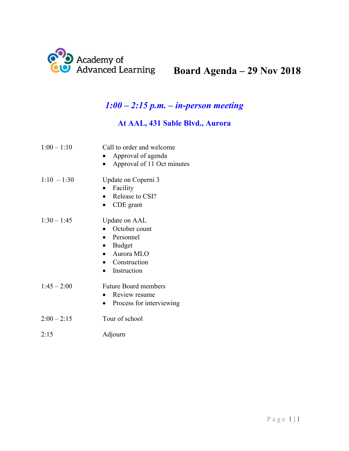

# **Board Agenda – 29 Nov 2018**

## *1:00 – 2:15 p.m. – in-person meeting*

### **At AAL, 431 Sable Blvd., Aurora**

| $1:00 - 1:10$ | Call to order and welcome<br>Approval of agenda<br>Approval of 11 Oct minutes                          |
|---------------|--------------------------------------------------------------------------------------------------------|
| $1:10 - 1:30$ | Update on Coperni 3<br>Facility<br>Release to CSI?<br>$\bullet$<br>CDE grant                           |
| $1:30 - 1:45$ | Update on AAL<br>October count<br>Personnel<br>Budget<br>• Aurora MLO<br>• Construction<br>Instruction |
| $1:45 - 2:00$ | <b>Future Board members</b><br>Review resume<br>Process for interviewing                               |
| $2:00 - 2:15$ | Tour of school                                                                                         |

2:15 Adjourn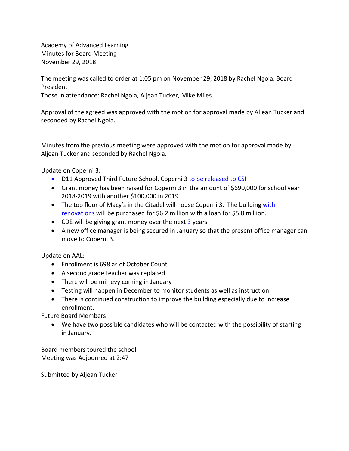Academy of Advanced Learning Minutes for Board Meeting November 29, 2018

The meeting was called to order at 1:05 pm on November 29, 2018 by Rachel Ngola, Board President Those in attendance: Rachel Ngola, Aljean Tucker, Mike Miles

Approval of the agreed was approved with the motion for approval made by Aljean Tucker and seconded by Rachel Ngola.

Minutes from the previous meeting were approved with the motion for approval made by Aljean Tucker and seconded by Rachel Ngola.

Update on Coperni 3:

- D11 Approved Third Future School, Coperni 3 to be released to CSI
- Grant money has been raised for Coperni 3 in the amount of \$690,000 for school year 2018-2019 with another \$100,000 in 2019
- The top floor of Macy's in the Citadel will house Coperni 3. The building with renovations will be purchased for \$6.2 million with a loan for \$5.8 million.
- CDE will be giving grant money over the next 3 years.
- A new office manager is being secured in January so that the present office manager can move to Coperni 3.

Update on AAL:

- Enrollment is 698 as of October Count
- A second grade teacher was replaced
- There will be mil levy coming in January
- Testing will happen in December to monitor students as well as instruction
- There is continued construction to improve the building especially due to increase enrollment.

Future Board Members:

• We have two possible candidates who will be contacted with the possibility of starting in January.

Board members toured the school Meeting was Adjourned at 2:47

Submitted by Aljean Tucker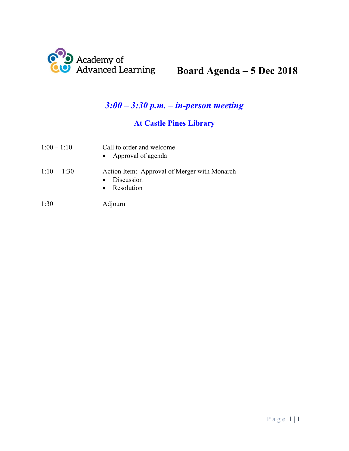

# **Board Agenda – 5 Dec 2018**

## *3:00 – 3:30 p.m. – in-person meeting*

## **At Castle Pines Library**

| $1:00 - 1:10$ | Call to order and welcome<br>• Approval of agenda                          |
|---------------|----------------------------------------------------------------------------|
| $1:10 - 1:30$ | Action Item: Approval of Merger with Monarch<br>Discussion<br>• Resolution |
| 1:30          | Adjourn                                                                    |